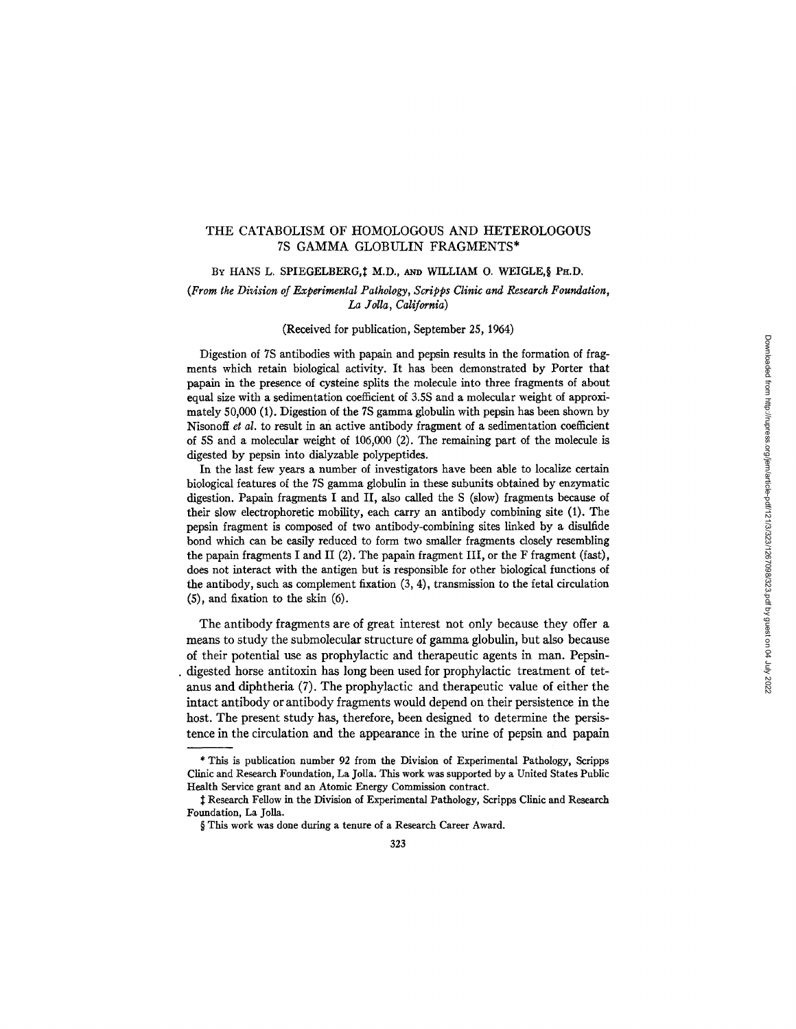# THE CATABOLISM OF HOMOLOGOUS AND HETEROLOGOUS 7S GAMMA GLOBULIN FRAGMENTS\*

### BY HANS L. SPIEGELBERG,<sup>†</sup> M.D., AND WILLIAM O. WEIGLE, § PH.D.

# *(From the Division of Experimental Pathology, Scripps Clinic and Research Foundation, La YoUa, California)*

### (Received for publication, September 25, 1964)

Digestion of 7S antibodies with papain and pepsin results in the formation of fragments which retain biological activity. It has been demonstrated by Porter that papain in the presence of cysteine splits the molecule into three fragments of about equal size with a sedimentation coefficient of 3.5S and a molecular weight of approximately 50,000 (1). Digestion of the 7S gamma globulin with pepsin has been shown by Nisonoff *et al.* to result in an active antibody fragment of a sedimentation coefficient of 5S and a molecular weight of 106,000 (2). The remaining part of the molecule is digested by pepsin into dialyzable polypeptides.

In the last few years a number of investigators have been able to localize certain biological features of the 7S gamma globulin in these subunits obtained by enzymatic digestion. Papain fragments I and II, also called the S (slow) fragments because of their slow electrophoretie mobility, each carry an antibody combining site (1). The pepsin fragment is composed of two antibody-combining sites linked by a disulfide bond which can be easily reduced to form two smaller fragments closely resembling the papain fragments I and II (2). The papain fragment III, or the F fragment (fast), does not interact with the antigen but is responsible for other biological functions of the antibody, such as complement fixation (3, 4), transmission to the fetal circulation (5), and fixation to the skin (6).

The antibody fragments are of great interest not only because they offer a means to study the submolecular structure of gamma globulin, but also because of their potential use as prophylactic and therapeutic agents in man. Pepsin- . digested horse antitoxin has long been used for prophylactic treatment of tetanus and diphtheria (7). The prophylactic and therapeutic value of either the intact antibody or antibody fragments would depend on their persistence in the host. The present study has, therefore, been designed to determine the persistence in the circulation and the appearance in the urine of pepsin and papain

<sup>\*</sup> This is publication number 92 from the Division of Experimental Pathology, Scripps Clinic and Research Foundation, La Jolla. This work was supported by a United States Public Health Service grant and an Atomic Energy Commission contract.

<sup>:~</sup> Research Fellow in the Division of Experimental Pathology, Scripps Clinic and Research Foundation, La Jolla.

<sup>§</sup> This work was done during a tenure of a Research Career Award.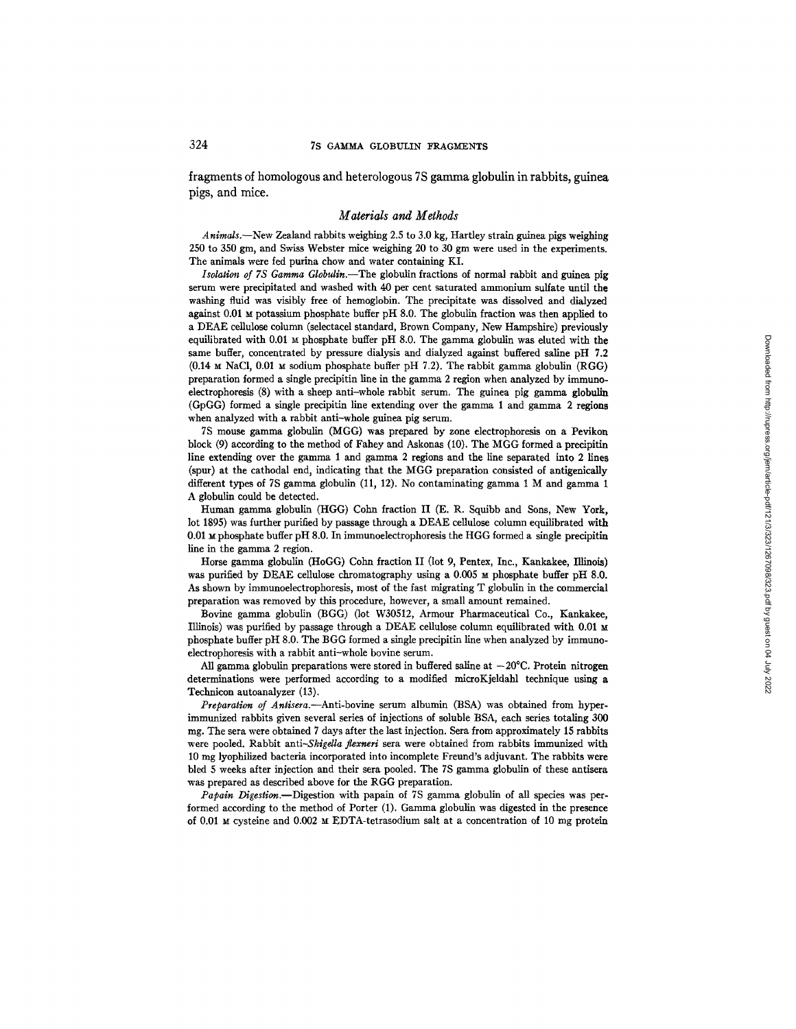fragments of homologous and heterologous 7S gamma globulin in rabbits, guinea pigs, and mice.

### *Materials and Methods*

*Animals.--New* Zealand rabbits weighing 2.5 to 3.0 kg, Hartley strain guinea pigs weighing 250 to 350 gin, and Swiss Webster mice weighing 20 to 30 gm were used in the experiments. The animals were fed purina chow and water containing KI.

*Isolation of 7S Gamma Globulin.--The* globulin fractions of normal rabbit and guinea pig serum were precipitated and washed with 40 per cent saturated ammonium sulfate until the washing fluid was visibly free of hemoglobin. The precipitate was dissolved and dialyzed against  $0.01$   $\mu$  potassium phosphate buffer pH 8.0. The globulin fraction was then applied to a DEAE cellulose column (selectaeel standard, Brown Company, New Hampshire) previously equilibrated with  $0.01 ~ \text{M}$  phosphate buffer pH 8.0. The gamma globulin was eluted with the same buffer, concentrated by pressure dialysis and dialyzed against buffered saline pH 7.2  $(0.14 \text{ M NaCl}, 0.01 \text{ M sodium phosphate buffer pH } 7.2)$ . The rabbit gamma globulin (RGG) preparation formed a single precipitin line in the gamma 2 region when analyzed by immunoelectrophoresis (8) with a sheep anti-whole rabbit serum. The guinea pig gamma globulin (GpGG) formed a single precipitin line extending over the gamma 1 and gamma 2 regions when analyzed with a rabbit anti-whole guinea pig serum.

7S mouse gamma globulin (MGG) was prepared by zone electrophnresis on a Pevikon block (9) according to the method of Fahey and Askonas (10). The MGG formed a precipitin line extending over the gamma 1 and gamma 2 regions and the line separated into 2 lines (spur) at the cathodal end, indicating that the MGG preparation consisted of antigenically different types of 7S gamma globulin (11, 12). No contaminating gamma 1 M and gamma i A globulin could be detected.

Human gamma globulin (HGG) Cohn fraction II (E. R. Squibb and Sons, New York, lot 1895) was further purified by passage through a DEAE cellulose column equilibrated with 0.01  $\mu$  phosphate buffer pH 8.0. In immunoelectrophoresis the HGG formed a single precipitin line in the gamma 2 region.

Horse gamma globulin (HoGG) Cohn fraction II (lot 9, Pentex, Inc., Kankakee, Illinois) was purified by DEAE cellulose chromatography using a  $0.005 ~M$  phosphate buffer pH 8.0. As shown by immunoelectrophoresis, most of the fast migrating T globulin in the commercial preparation was removed by this procedure, however, a small amount remained.

Bovine gamma globulin (BGG) (lot W30512, Armour Pharmaceutical Co., Kankakee, Illinois) was purified by passage through a DEAE cellulose column equilibrated with 0.01 M phosphate buffer pH 8.0. The BGG formed a single precipitin line when analyzed by immunoelectrophoresis with a rabbit anti-whole bovine serum.

All gamma globulin preparations were stored in buffered saline at  $-20^{\circ}$ C. Protein nitrogen determinations were performed according to a modified mieroKjeldahl technique using a Technicon autoanalyzer (13).

*Preparation of Antisera.--Anti-bovine* serum albumin (BSA) was obtained from hyperimmunized rabbits given several series of injections of soluble BSA, each series totaling 300 mg. The sera were obtained 7 days after the last injection. Sera from approximately 15 rabbits were pooled. Rabbit *anti-Shlgella flexnerl* sera were obtained from rabbits immunized with 10 mg lyophilized bacteria incorporated into incomplete Freund's adjuvant. The rabbits were bled 5 weeks after injection and their sera pooled. The 7S gamma globulin of these antisera was prepared as described above for the RGG preparation.

Papain Digestion.-Digestion with papain of 7S gamma globulin of all species was performed according to the method of Porter (1). Gamma globulin was digested in the presence of 0.01 M cysteine and 0.002 M EDTA-tetrasodium salt at a concentration of 10 mg protein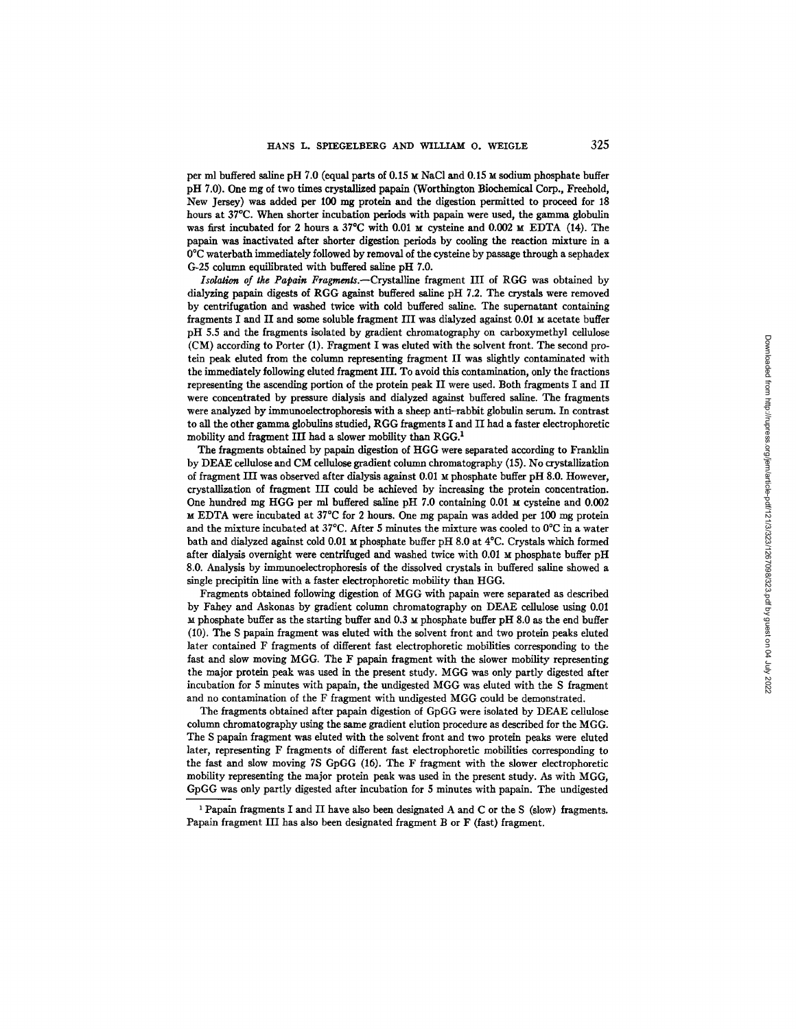per ml buffered saline pH 7.0 (equal parts of  $0.15 \text{ m}$  NaCl and  $0.15 \text{ m}$  sodium phosphate buffer pH 7.0). One mg of two times crystallized papain (Worthington Biochemical Corp., Freehold, New Jersey) was added per 100 mg protein and the digestion permitted to proceed for 18 hours at 37°C. When shorter incubation periods with papain were used, the gamma globulin was first incubated for 2 hours a 37°C with 0.01  $\mu$  cysteine and 0.002  $\mu$  EDTA (14). The papain was inactivated after shorter digestion periods by cooling the reaction mixture in a 0°C waterbath immediately followed by removal of the cysteine by passage through a sephadex G-25 column equilibrated with buffered saline pH 7.0.

*Isolation of the Papain Fragraents.--Crystalllne* fragment III of RGG was obtained by dialyzing papain digests of RGG against buffered saline pH 7.2. The crystais were removed by centrifugation and washed twice with cold buffered saline. The supernatant containing fragments I and II and some soluble fragment III was dialyzed against  $0.01 ~M$  acetate buffer pH 5.5 and the fragments isolated by gradient chromatography on carboxymethyl cellulose (CM) according to Porter (1). Fragment I was eluted with the solvent front. The second protein peak eluted from the column representing fragment II was slightly contaminated with the immediately following eluted fragment III. To avoid this contamination, only the fractions representing the ascending portion of the protein peak II were used. Both fragments I and II were concentrated by pressure dialysis and dialyzed against buffered saline. The fragments were analyzed by immtmoelectrophoresis with a sheep anti-rabbit globulin serum. In contrast to all the other gamma globulins studied, RGG fragments I and II had a faster electrophoretic mobility and fragment III had a slower mobility than  $RGG<sup>1</sup>$ 

The fragments obtained by papaln digestion of HGG were separated according to Franklin by DEAE cellulose and CM cellulose gradient column chromatography (15). No crystallization of fragment III was observed after dialysis against 0.01  $\mu$  phosphate buffer pH 8.0. However, crystallization of fragment ILl could be achieved by increasing the protein concentration. One hundred mg HGG per ml buffered saline pH 7.0 containing 0.01 M cysteine and 0.002  $\text{M}$  EDTA were incubated at 37°C for 2 hours. One mg papain was added per 100 mg protein and the mixture incubated at 37°C. After 5 minutes the mixture was cooled to 0°C in a water bath and dialyzed against cold 0.01  $\boldsymbol{\mu}$  phosphate buffer pH 8.0 at 4°C. Crystals which formed after dialysis overnight were centrifuged and washed twice with  $0.01 ~M$  phosphate buffer pH 8.0. Analysis by immunoelectrophoresis of the dissolved crystals in buffered saline showed a single precipitin line with a faster eleetrophoretic mobility than HGG.

Fragments obtained following digestion of MGG with papain were separated as described by Fahey and Askonas by gradient column chromatography on DEAE cellulose using 0.01 ~t phosphate buffer as the starting buffer and 0.3 M phosphate buffer pH 8.0 as the end buffer (10). The S papaln fragment was elnted with the solvent front and two protein peaks einted later contained F fragments of different fast eleetrophoretic mobillties corresponding to the fast and slow moving MGG. The F papaln fragment with the slower mobility representing the major protein peak was used in the present study. MGG was only partly digested after incubation for 5 minutes with papain, the undigested MGG was eluted with the S fragment and no contamination of the F fragment with undigested MGG could be demonstrated.

The fragments obtained after papain digestion of GpGG were isolated by DEAE cellulose column chromatography using the same gradient ehition procedure as described for the MGG. The S papain fragment was eluted with the solvent front and two protein peaks were elnted later, representing F fragments of different fast electrophoretic mobilities corresponding to the fast and slow moving 7S GpGG (16). The F fragment with the slower electrophoretic mobility representing the major protein peak was used in the present study. As with MGG, GpGG was only partly digested after incubation for 5 minutes with papain. The undigested

<sup>&</sup>lt;sup>1</sup> Papain fragments I and II have also been designated A and C or the S (slow) fragments. Papain fragment IH has also been designated fragment B or F (fast) fragment.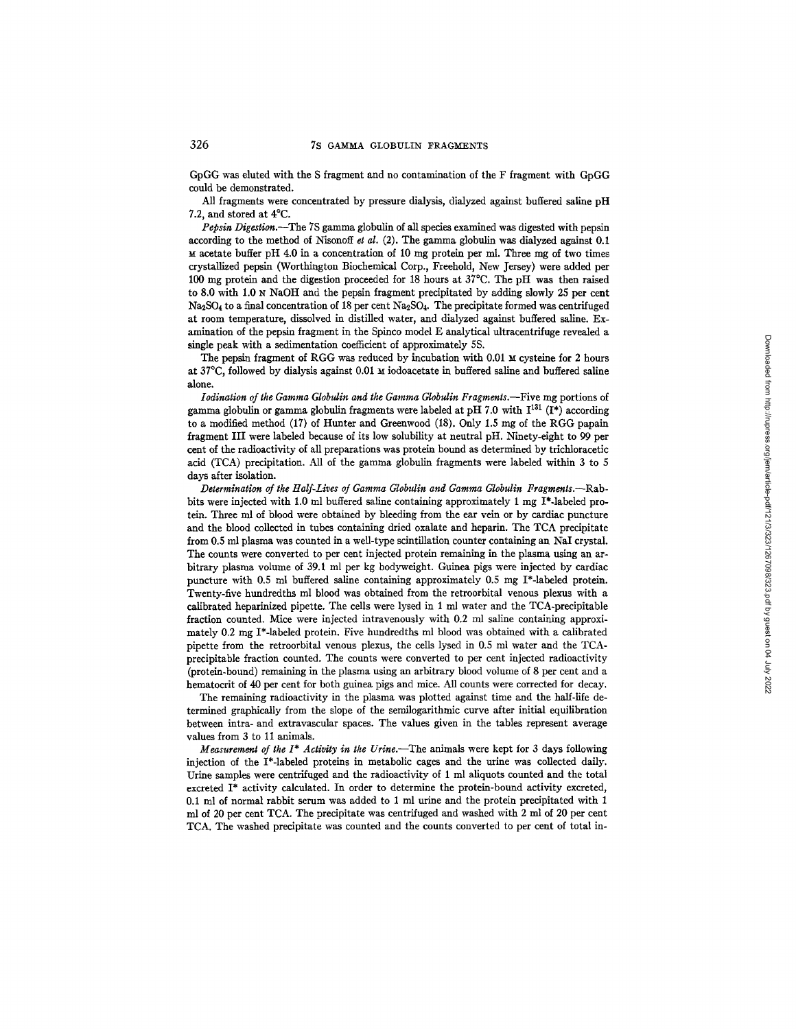GpGG was eluted with the S fragment and no contamination of the F fragment with GpGG could be demonstrated.

All fragments were concentrated by pressure dialysis, dialyzed against buffered saline pH 7.2, and stored at 4°C.

*Pepsin Digestion.--The* 7S gamma globulin of all species examined was digested with pepsin according to the method of Nisonoff et *al.* (2). The gamma globulin was dialyzed against 0.1  $M$  acetate buffer pH 4.0 in a concentration of 10 mg protein per ml. Three mg of two times crystallized pepsin (Worthington Biochemical Corp., Freehold, New Jersey) were added per 100 mg protein and the digestion proceeded for 18 hours at 37°C. The pH was then raised to 8.0 with 1.0  $\mu$  NaOH and the pepsin fragment precipitated by adding slowly 25 per cent  $Na<sub>2</sub>SO<sub>4</sub>$  to a final concentration of 18 per cent  $Na<sub>2</sub>SO<sub>4</sub>$ . The precipitate formed was centrifuged at room temperature, dissolved in distilled water, and dialyzed against buffered saline. Examination of the pepsin fragment in the Spinco model E analytical ultracentrifuge revealed a single peak with a sedimentation coefficient of approximately 5S.

The pepsin fragment of RGG was reduced by incubation with  $0.01 \text{ m}$  cysteine for 2 hours at 37°C, followed by dialysis against 0.01 M iodoacetate in buffered saline and buffered saline alone.

*Iodination of the Gamma Globulin and the Gamma Globulin Fragments.*—Five mg portions of gamma globulin or gamma globulin fragments were labeled at pH 7.0 with  $I^{131}$  (I<sup>\*</sup>) according to a modified method (17) of Hunter and Greenwood (18). Only 1.5 mg of the RGG papain fragment III were labeled because of its low solubility at neutral pH. Ninety-eight to 99 per cent of the radioactivity of all preparations was protein bound as determined by trichloracetic acid (TCA) precipitation. All of the gamma globulin fragments were labeled within 3 to 5 days after isolation.

*Determination of the Half-Lives of Gamma Globulin and Gamma Globulin Fragments.--Rab*bits were injected with 1.0 ml buffered saline containing approximately 1 mg I\*-labeled protein. Three ml of blood were obtained by bleeding from the ear vein or by cardiac puncture and the blood collected in tubes containing dried oxalate and heparin. The TCA precipitate from 0.5 ml plasma was counted in a well-type scintillation counter containing an NaI crystal. The counts were converted to per cent injected protein remaining in the plasma using an arbitrary plasma volume of 39.1 ml per kg bodyweight. Guinea pigs were injected by cardiac puncture with 0.5 ml buffered saline containing approximately 0.5 mg I\*-labeled protein. Twenty-five hundredths ml blood was obtained from the retroorbital venous plexus with a calibrated heparinized pipette. The cells were lysed in 1 ml water and the TCA-precipitable fraction counted. Mice were injected intravenously with 0.2 ml saline containing approximately 0.2 nag I\*-labeled protein. Five hundredths ml blood was obtained with a calibrated pipette from the retroorbital venous plexus, the cells lysed in 0.5 ml water and the TCAprecipitable fraction counted. The counts were converted to per cent injected radioactivity (protein-bound) remaining in the plasma using an arbitrary blood volume of 8 per cent and a hematocrit of 40 per cent for both guinea pigs and mice. AU counts were corrected for decay.

The remaining radioactivity in the plasma was plotted against time and the half-life determined graphically from the slope of the semilogarithmic curve after initial equilibration between intra- and extravascular spaces. The values given in the tables represent average values from 3 to 11 animals.

*Measurement of the I<sup>\*</sup> Activity in the Urine.*—The animals were kept for 3 days following injection of the I\*4abeled proteins in metabolic cages and the urine was collected daily. Urine samples were centrifuged and the radioactivity of 1 ml aliquots counted and the total excreted I\* activity calculated. In order to determine the protein-bound activity excreted, 0.1 ml of normal rabbit serum was added to 1 ml urine and the protein precipitated with 1 ml of 20 per cent TCA. The precipitate was centrifuged and washed with 2 ml of 20 per cent TCA. The washed precipitate was counted and the counts converted to per cent of total in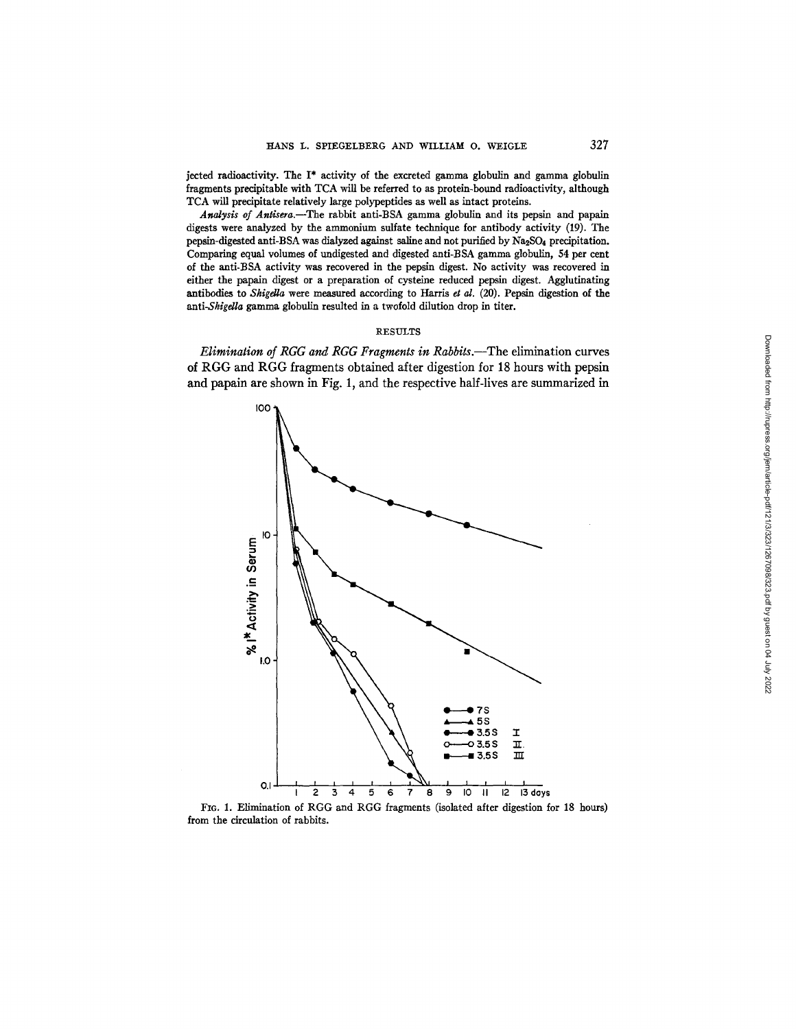jected radioactivity. The I\* activity of the excreted gamma globulin and gamma globulin fragments precipitable with TCA will be referred to as protein-bound radioactivity, although TCA will precipitate relatively large polypeptides as well as intact proteins.

*Analysis of* Antisera.--The rabbit anti-BSA gamma globulin and its pepsin and papain digests were analyzed by the ammonium sulfate technique for antibody activity (19). The pepsin-digested anti-BSA was dialyzed against saline and not purified by Na2SO4 precipitation. Comparing equal volumes of undigested and digested anti-BSA gamma globulin, 54 per cent of the anti-BSA activity was recovered in the pepsin digest. No activity was recovered in either the papain digest or a preparation of cysteine reduced pepsin digest. Agglutinating antibodies to *Shigdla* were measured according to Harris *et al.* (20). Pepsin digestion of the *anti-Shigella* gamma globulin resulted in a twofold dilution drop in titer.

# RESULTS

*Elimination of RGG and RGG Fragments in Rabbits.*—The elimination curves of RGG and RGG fragments obtained after digestion for 18 hours with pepsin and papain are shown in Fig. 1, and the respective half-lives are summarized in



FIG. 1. Elimination of RGG and RGG fragments (isolated after digestion for 18 hours) from the circulation of rabbits.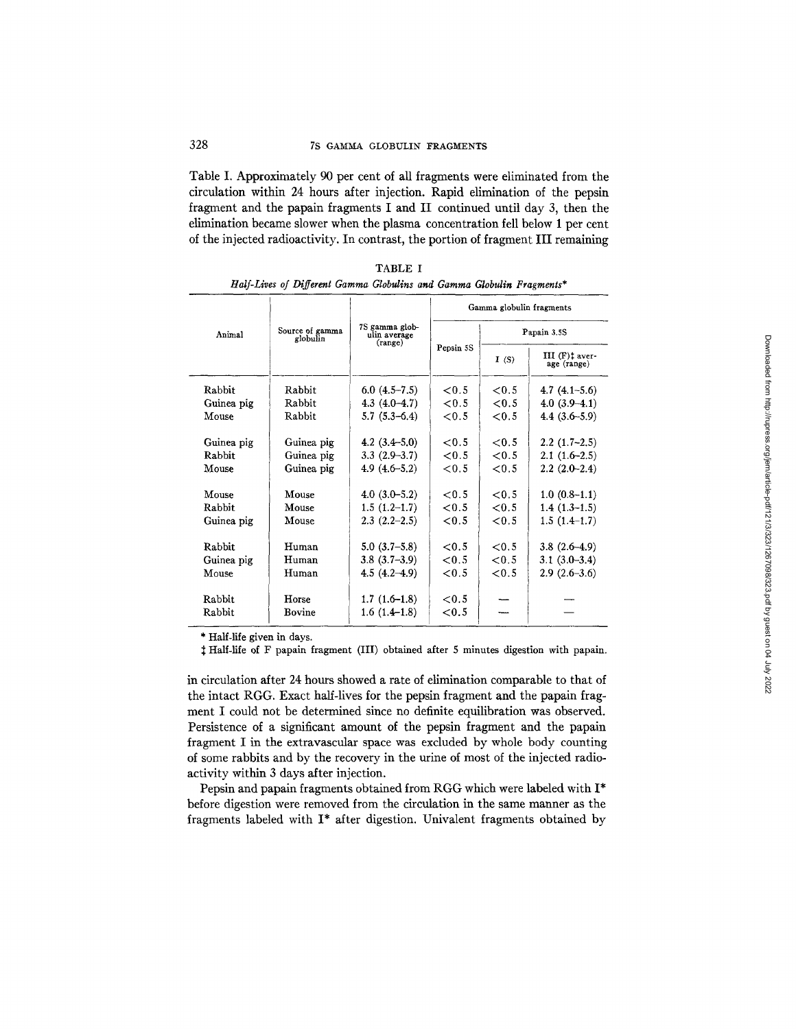# 328 7S GAMMA GLOBULIN FRAGMENTS

Table I. Approximately 90 per cent of all fragments were eliminated from the circulation within 24 hours after injection. Rapid elimination of the pepsin fragment and the papain fragments I and II continued until day 3, then the elimination became slower when the plasma concentration fell below 1 per cent of the injected radioactivity. In contrast, the portion of fragment III remaining

TABLE I

|            | Source of gamma<br>globulin | 7S gamma glob-<br>ulin average<br>(range) | Gamma globulin fragments |             |                                           |  |  |
|------------|-----------------------------|-------------------------------------------|--------------------------|-------------|-------------------------------------------|--|--|
| Animal     |                             |                                           |                          | Papain 3.5S |                                           |  |  |
|            |                             |                                           | Pepsin 5S                | I(S)        | $III$ (F) $\ddagger$ aver-<br>age (range) |  |  |
| Rabbit     | Rabbit                      | $6.0(4.5-7.5)$                            | < 0.5                    | ${<}0.5$    | 4.7 $(4.1-5.6)$                           |  |  |
| Guinea pig | Rabbit                      | $4.3(4.0-4.7)$                            | ${<}0.5$                 | ${<}0.5$    | $4.0(3.9-4.1)$                            |  |  |
| Mouse      | Rabbit                      | $5.7(5.3-6.4)$                            | ${<}0.5$                 | ${<}0.5$    | $4.4(3.6-5.9)$                            |  |  |
| Guinea pig | Guinea pig                  | 4.2 $(3.4 - 5.0)$                         | ${<}0.5$                 | ${<}0.5$    | $2.2(1.7-2.5)$                            |  |  |
| Rabbit     | Guinea pig                  | $3.3(2.9-3.7)$                            | ${<}0.5$                 | < 0.5       | $2.1(1.6-2.5)$                            |  |  |
| Mouse      | Guinea pig                  | $4.9(4.6-5.2)$                            | ${<}0.5$                 | ${<}0.5$    | $2.2(2.0-2.4)$                            |  |  |
| Mouse      | Mouse                       | $4.0(3.0-5.2)$                            | < 0.5                    | < 0.5       | $1.0(0.8-1.1)$                            |  |  |
| Rabbit     | Mouse                       | $1.5(1.2-1.7)$                            | ${<}0.5$                 | ${<}0.5$    | $1.4(1.3-1.5)$                            |  |  |
| Guinea pig | Mouse                       | $2.3(2.2-2.5)$                            | ${<}0.5$                 | ${<}0.5$    | $1.5(1.4-1.7)$                            |  |  |
| Rabbit     | Human                       | $5.0(3.7-5.8)$                            | ${<}0.5$                 | < 0.5       | $3.8(2.6-4.9)$                            |  |  |
| Guinea pig | Human                       | $3.8(3.7-3.9)$                            | < 0.5                    | < 0.5       | $3.1(3.0-3.4)$                            |  |  |
| Mouse      | Human                       | $4.5(4.2-4.9)$                            | ${<}0.5$                 | ${<}0.5$    | $2.9(2.6-3.6)$                            |  |  |
|            |                             |                                           |                          |             |                                           |  |  |
| Rabbit     | Horse                       | $1.7(1.6-1.8)$                            | ${<}0.5$                 |             |                                           |  |  |
| Rabbit     | Bovine                      | $1.6(1.4-1.8)$                            | ${<}0.5$                 |             |                                           |  |  |

| Half-Lives of Different Gamma Globulins and Gamma Globulin Fragments* |  |  |
|-----------------------------------------------------------------------|--|--|
|                                                                       |  |  |

\* Half-life given in days.

:~ Half-life of F papain fragment (III) obtained after 5 minutes digestion with papain.

in circulation after 24 hours showed a rate of elimination comparable to that of the intact RGG. Exact half-lives for the pepsin fragment and the papain fragment I could not be determined since no definite equilibration was observed. Persistence of a significant amount of the pepsin fragment and the papain fragment I in the extravascular space was excluded by whole body counting of some rabbits and by the recovery in the urine of most of the injected radioactivity within 3 days after injection.

Pepsin and papain fragments obtained from RGG which were labeled with I\* before digestion were removed from the circulation in the same manner as the fragments labeled with I\* after digestion. Univalent fragments obtained by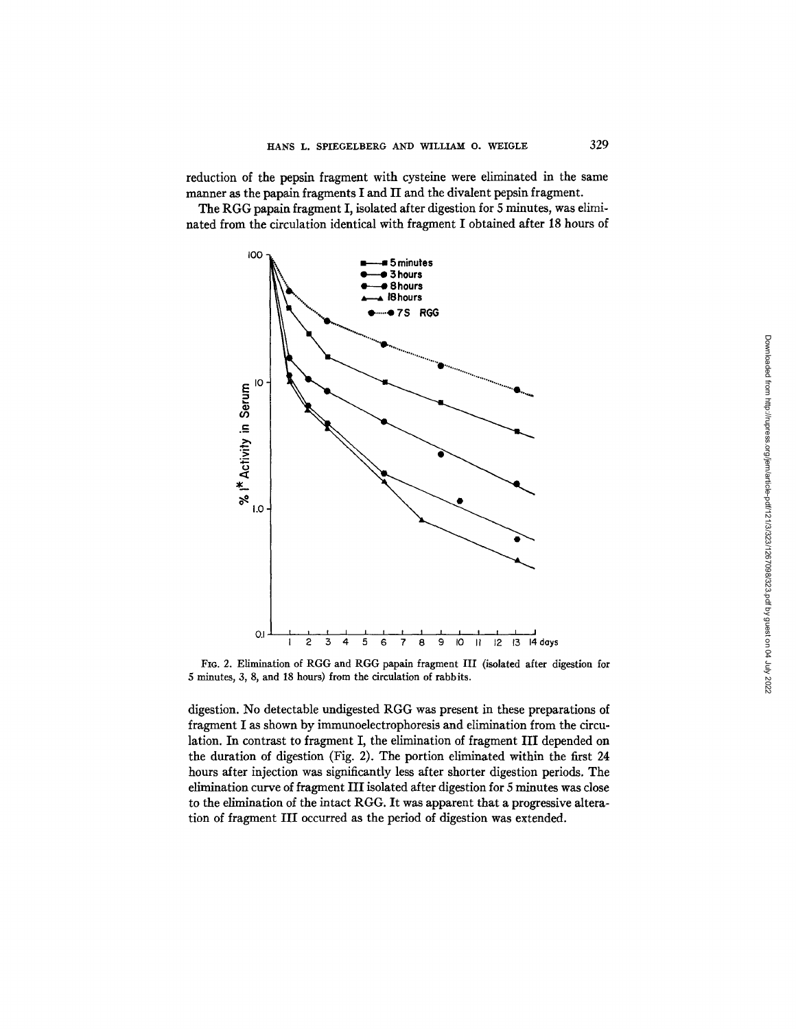reduction of the pepsin fragment with cysteine were eliminated in the same manner as the papain fragments I and II and the divalent pepsin fragment.

The RGG papain fragment I, isolated after digestion for 5 minutes, was eliminated from the circulation identical with fragment I obtained after 18 hours of



Fro. 2. Elimination of RGG and RGG papain fragment III (isolated after digestion for 5 minutes, 3, 8, and 18 hours) from the circulation of rabbits.

digestion. No detectable undigested RGG was present in these preparations of fragment I as shown by immunoelectrophoresis and elimination from the circulation. In contrast to fragment I, the elimination of fragment III depended on the duration of digestion (Fig. 2). The portion eliminated within the first 24 hours after injection was significantly less after shorter digestion periods. The elimination curve of fragment III isolated after digestion for 5 minutes was close to the elimination of the intact RGG. It was apparent that a progressive alteration of fragment III occurred as the period of digestion was extended.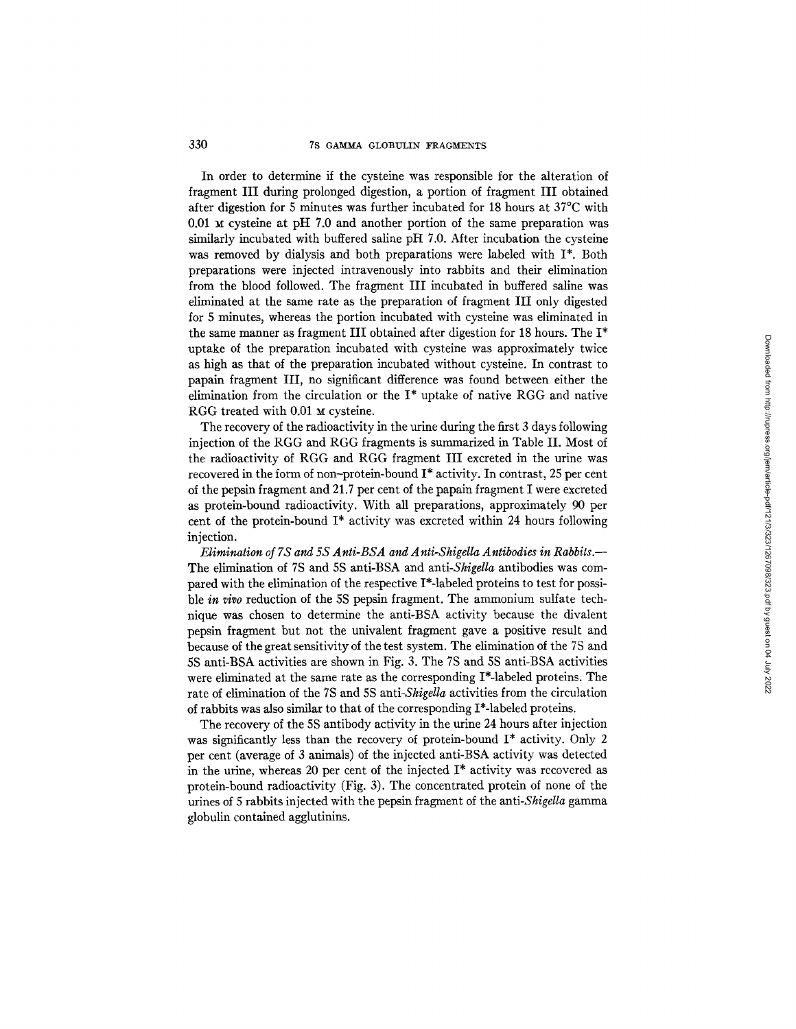# 330 7S GAMMA GLOBULIN FRAGMENTS

In order to determine if the cysteine was responsible for the alteration of fragment III during prolonged digestion, a portion of fragment III obtained after digestion for 5 minutes was further incubated for 18 hours at 37°C with  $0.01$  M cysteine at pH 7.0 and another portion of the same preparation was similarly incubated with buffered saline pH 7.0. After incubation the cysteine was removed by dialysis and both preparations were labeled with I\*. Both preparations were injected intravenously into rabbits and their elimination from the blood followed. The fragment III incubated in buffered saline was eliminated at the same rate as the preparation of fragment III only digested for 5 minutes, whereas the portion incubated with cysteine was eliminated in the same manner as fragment III obtained after digestion for 18 hours. The I\* uptake of the preparation incubated with cysteine was approximately twice as high as that of the preparation incubated without cysteine. In contrast to papain fragment III, no significant difference was found between either the elimination from the circulation or the  $I^*$  uptake of native RGG and native RGG treated with 0.01 M cysteine.

The recovery of the radioactivity in the urine during the first 3 days following injection of the RGG and RGG fragments is summarized in Table II. Most of the radioactivity of RGG and RGG fragment III excreted in the urine was recovered in the form of non-protein-bound I\* activity. In contrast, 25 per cent of the pepsin fragment and 21.7 per cent of the papain fragment I were excreted as protein-bound radioactivity. With all preparations, approximately 90 per cent of the protein-bound I\* activity was excreted within 24 hours following injection.

*Elimination of 7S and 5S Anti-BSA and Anti-Shigella Antibodies in Rabbits.-*  The elimination of 7S and 5S anti-BSA and *anti-Shigella* antibodies was compared with the elimination of the respective I\*-labeled proteins to test for possible *in vivo* reduction of the 5S pepsin fragment. The ammonium sulfate technique was chosen to determine the anti-BSA activity because the divalent pepsin fragment but not the univalent fragment gave a positive result and because of the great sensitivity of the test system. The elimination of the 7S and 5S anti-BSA activities are shown in Fig. 3. The 7S and 5S anti-BSA activities were eliminated at the same rate as the corresponding I\*-labeled proteins. The rate of elimination of the 7S and 5S *anti-Shigella* activities from the circulation of rabbits was also similar to that of the corresponding I\*-labeled proteins.

The recovery of the 5S antibody activity in the urine 24 hours after injection was significantly less than the recovery of protein-bound I\* activity. Only 2 per cent (average of 3 animals) of the injected anti-BSA activity was detected in the urine, whereas 20 per cent of the injected  $I^*$  activity was recovered as protein-bound radioactivity (Fig. 3). The concentrated protein of none of the urines of 5 rabbits injected with the pepsin fragment of the *anti-Shigella* gamma globulin contained agglutinins.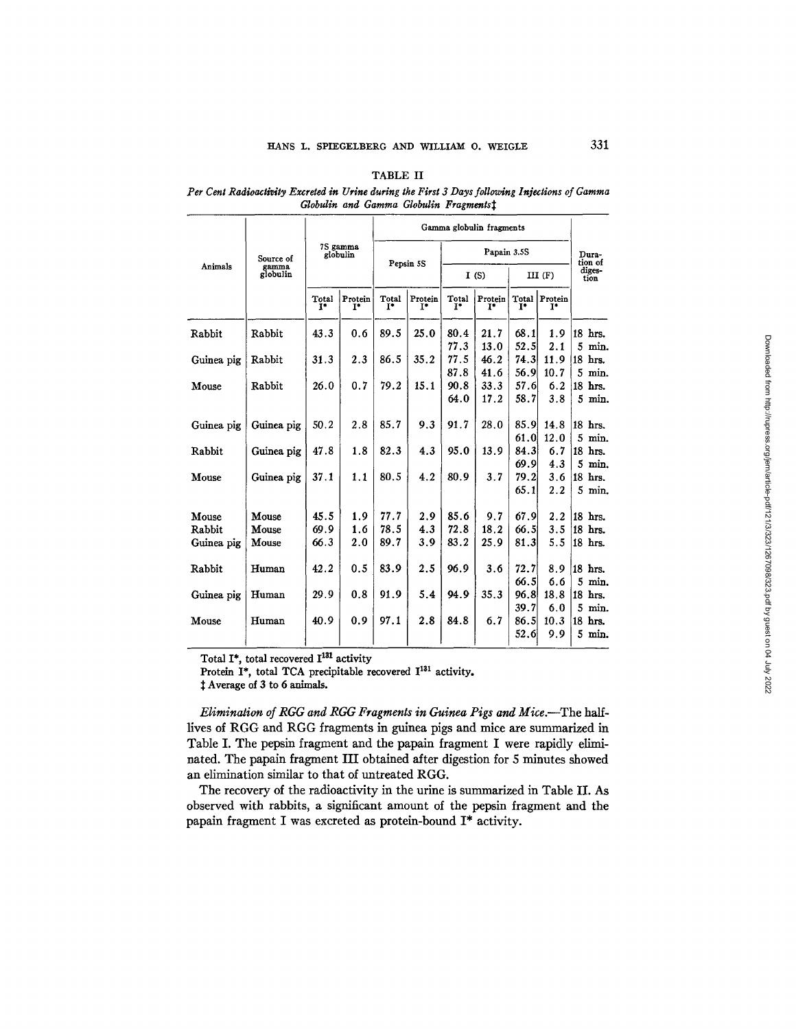# TABLE II

### Per Cent Radioactivity Excreted in Urine during the First 3 Days following Injections of Gamma *Globulin and Gamma Globulin Fragments*<sup> $†$ </sup>

|                      | Source of<br>gamma<br>globulin | 7S gamma<br>globulin    |                  | Gamma globulin fragments |                  |                |               |                         |                  |                      |
|----------------------|--------------------------------|-------------------------|------------------|--------------------------|------------------|----------------|---------------|-------------------------|------------------|----------------------|
|                      |                                |                         |                  | Pepsin 5S                |                  | Papain 3.5S    |               |                         |                  | Dura-<br>tion of     |
| Animals              |                                |                         |                  |                          |                  | I(S)           |               | $III$ $(F)$             |                  | diges-<br>tion       |
|                      |                                | Total<br>$\mathbf{I}^*$ | Protein<br>$I^*$ | Total<br>$I^*$           | Protein<br>$T^*$ | Total<br>$I^*$ | Protein<br>ĩ* | Total<br>$\mathbf{I}^*$ | Protein<br>$T^*$ |                      |
| Rabbit               | Rabbit                         | 43.3                    | 0.6              | 89.5                     | 25.0             | 80.4<br>77.3   | 21.7<br>13.0  | 68.1<br>52.5            | 1.9<br>2.1       | 18 hrs.<br>5<br>min. |
| Guinea pig           | Rabbit                         | 31.3                    | 2.3              | 86.5                     | 35.2             | 77.5<br>87.8   | 46.2<br>41.6  | 74.3<br>56.9            | 11.9<br>10.7     | 18 hrs.<br>$5$ min.  |
| Mouse                | Rabbit                         | 26.0                    | 0.7              | 79.2                     | 15.1             | 90.8<br>64.0   | 33.3<br>17.2  | 57.6<br>58.7            | 6.2<br>3.8       | 18 hrs.<br>5<br>min. |
| Guinea pig           | Guinea pig                     | 50.2                    | 2.8              | 85.7                     | 9.3              | 91.7           | 28.0          | 85.9                    | 14.8             | 18 hrs.              |
| Rabbit               | Guinea pig                     | 47.8                    | 1.8              | 82.3                     | 4.3              | 95.0           | 13.9          | 61.0<br>84.3            | 12.0<br>6.7      | $5$ min.<br>18 hrs.  |
| Mouse                | Guinea pig                     | 37.1                    | 1.1              | 80.5                     | 4.2              | 80.9           | 3.7           | 69.9<br>79.21           | 4.3<br>3.6       | 5<br>min.<br>18 hrs. |
|                      |                                |                         |                  |                          |                  |                |               | 65.1                    | 2.2              | 5 min.               |
| Mouse                | Mouse                          | 45.5                    | 1.9              | 77.7                     | 2.9              | 85.6           | 9.7           | 67.9                    | 2.2              | 18 hrs.              |
| Rabbit<br>Guinea pig | Mouse<br>Mouse                 | 69.9<br>66.3            | 1.6<br>2.0       | 78.5<br>89.7             | 4.3<br>3.9       | 72.8<br>83.2   | 18.2<br>25.9  | 66.5<br>81.3            | 3.5<br>5.5       | 18 hrs.<br>18 hrs.   |
| Rabbit               | Human                          | 42.2                    | 0.5              | 83.9                     | 2.5              | 96.9           | 3.6           | 72.7                    | 8.9              | 18 hrs.              |
| Guinea pig           | Human                          | 29.9                    | 0.8              | 91.9                     | 5.4              | 94.9           | 35.3          | 66.5<br>96.8            | 6.6<br>18.8      | 5<br>min.<br>18 hrs. |
| Mouse                | Human                          | 40.9                    | 0.9              | 97.1                     | 2.8              | 84.8           | 6.7           | 39.7<br>86.5            | 6.0<br>10.3      | 5<br>min.<br>18 hrs. |
|                      |                                |                         |                  |                          |                  |                |               | 52.6                    | 9.9              | $5$ min.             |

Total I\*, total recovered 113t activity

Protein I\*, total TCA precipitable recovered I<sup>131</sup> activity.

Average of 3 to 6 animals.

*Elimination of RGG and RGG Fragments in Guinea Pigs and Mice.--The half*lives of RGG and RGG fragments in guinea pigs and mice are summarized in Table I. The pepsin fragment and the papain fragment I were rapidly eliminated. The papain fragment III obtained after digestion for 5 minutes showed an elimination similar to that of untreated RGG.

The recovery of the radioactivity in the urine is summarized in Table II. As observed with rabbits, a significant amount of the pepsin fragment and the papain fragment I was excreted as protein-bound I\* activity.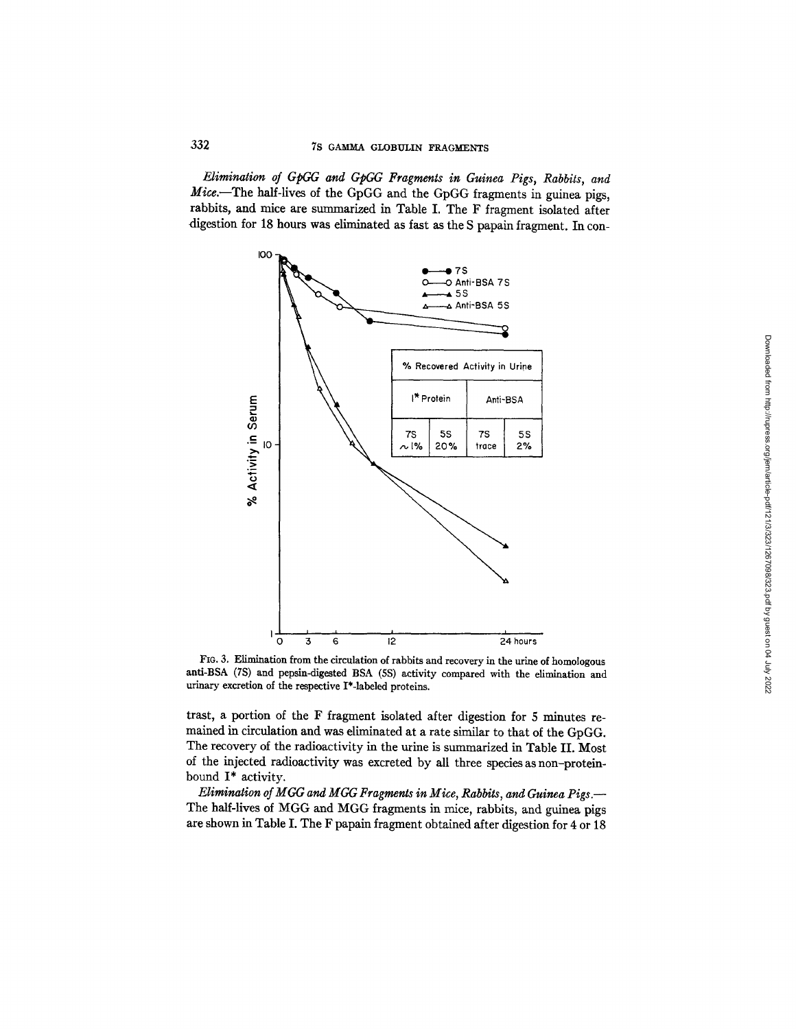*Elimination of GpC, G and GpGG Fragments in Guinea Pigs, Rabbits, and Mice.--The* half-lives of the GpGG and the GpGG fragments in guinea pigs, rabbits, and mice are summarized in Table I. The F fragment isolated after digestion for 18 hours was eliminated as fast as the S papain fragment. In con-



Fro. 3. Elimination from the circulation of rabbits and recovery in the urine of homologous anti-BSA (7S) and pepsin-digested BSA (5S) activity compared with the elimination and urinary excretion of the respective I\*-labeled proteins.

trast, a portion of the F fragment isolated after digestion for 5 minutes remained in circulation and was eliminated at a rate similar to that of the GpGG. The recovery of the radioactivity in the urine is summarized in Table II. Most of the injected radioactivity was excreted by all three species as non-proteinbound I\* activity.

*Elimination of MGG and MGG Fragments in Mice, Rabbits, and Guinea Pigs.-*  The half-lives of MGG and MGG fragments in mice, rabbits, and guinea pigs are shown in Table I. The F papain fragment obtained after digestion for 4 or 18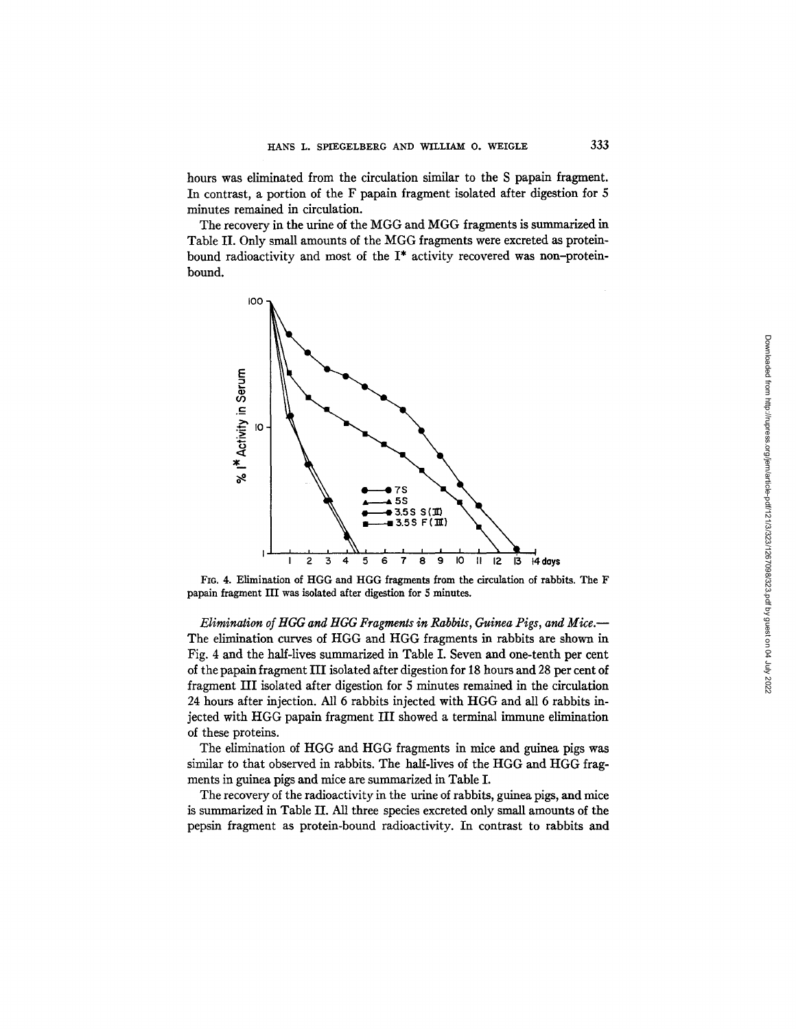hours was eliminated from the circulation similar to the S papain fragment. In contrast, a portion of the F papain fragment isolated after digestion for S minutes remained in circulation.

The recovery in the urine of the MGG and MGG fragments is summarized in Table II. Only small amounts of the MGG fragments were excreted as proteinbound radioactivity and most of the I\* activity recovered was non-proteinbound.



FIG. 4. Elimination of HGG and HGG fragments from the circulation of rabbits. The F papain fragment III was isolated after digestion for 5 minutes.

*Elimination of HGG and HGG Fragments in Rabbits, Guinea Pigs, and Mice.*-The elimination curves of HGG and HGG fragments in rabbits are shown in Fig. 4 and the half-lives summarized in Table I. Seven and one-tenth per cent of the papain fragment HI isolated after digestion for 18 hours and 28 per cent of fragment HI isolated after digestion for 5 minutes remained in the circulation 24 hours after injection. All 6 rabbits injected with HGG and all 6 rabbits injected with HGG papaln fragment III showed a terminal immune elimination of these proteins.

The elimination of HGG and HGG fragments in mice and guinea pigs was similar to that observed in rabbits. The half-lives of the HGG and HGG fragments in guinea pigs and mice are summarized in Table I.

The recovery of the radioactivity in the urine of rabbits, guinea pigs, and mice is summarized in Table II. All three species excreted only small amounts of the pepsin fragment as protein-bound radioactivity. In contrast to rabbits and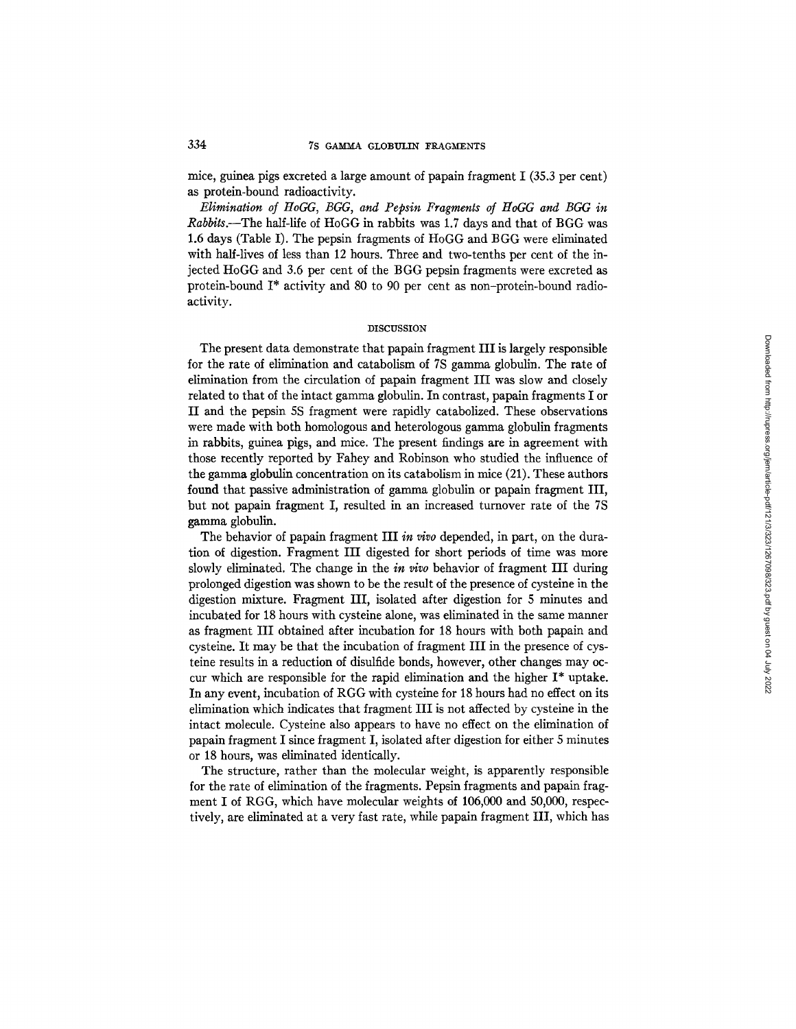mice, guinea pigs excreted a large amount of papain fragment I (35.3 per cent) as protein-bound radioactivity.

*Elimination of HoGG, BGG, and Pepsin Fragments of HoGG and BGG in Rabbits.--The* half-life of HoGG in rabbits was 1.7 days and that of BGG was 1.6 days (Table I). The pepsin fragments of HoGG and BGG were eliminated with half-lives of less than 12 hours. Three and two-tenths per cent of the injected HoGG and 3.6 per cent of the BGG pepsin fragments were excreted as protein-bound I\* activity and 80 to 90 per cent as non-protein-bound radioactivity.

### DISCUSSION

The present data demonstrate that papain fragment III is largely responsible for the rate of elimination and catabolism of 7S gamma globulin. The rate of elimination from the circulation of papain fragment III was slow and closely related to that of the intact gamma globulin. In contrast, papaln fragments I or II and the pepsin 5S fragment were rapidly catabolized. These observations were made with both homologous and heterologous gamma globulin fragments in rabbits, guinea pigs, and mice. The present findings are in agreement with those recently reported by Fahey and Robinson who studied the influence of the gamma globulin concentration on its catabolism in mice (21). These authors found that passive administration of gamma globulin or papain fragment III, but not papain fragment I, resulted in an increased turnover rate of the 7S gamma globulin.

The behavior of papain fragment III *in vivo* depended, in part, on the duration of digestion. Fragment IH digested for short periods of time was more slowly eliminated. The change in the *in vivo* behavior of fragment III during prolonged digestion was shown to be the result of the presence of cysteine in the digestion mixture. Fragment III, isolated after digestion for 5 minutes and incubated for 18 hours with cysteine alone, was eliminated in the same manner as fragment III obtained after incubation for 18 hours with both papain and cysteine. It may be that the incubation of fragment III in the presence of cysteine results in a reduction of disulfide bonds, however, other changes may occur which are responsible for the rapid elimination and the higher I\* uptake. In any event, incubation of RGG with cysteine for 18 hours had no effect on its elimination which indicates that fragment III is not affected by cysteine in the intact molecule. Cysteine also appears to have no effect on the elimination of papain fragment I since fragment I, isolated after digestion for either 5 minutes or 18 hours, was eliminated identically.

The structure, rather than the molecular weight, is apparently responsible for the rate of elimination of the fragments. Pepsin fragments and papain fragment I of RGG, which have molecular weights of 106,000 and 50,000, respectively, are eliminated at a very fast rate, while papain fragment III, which has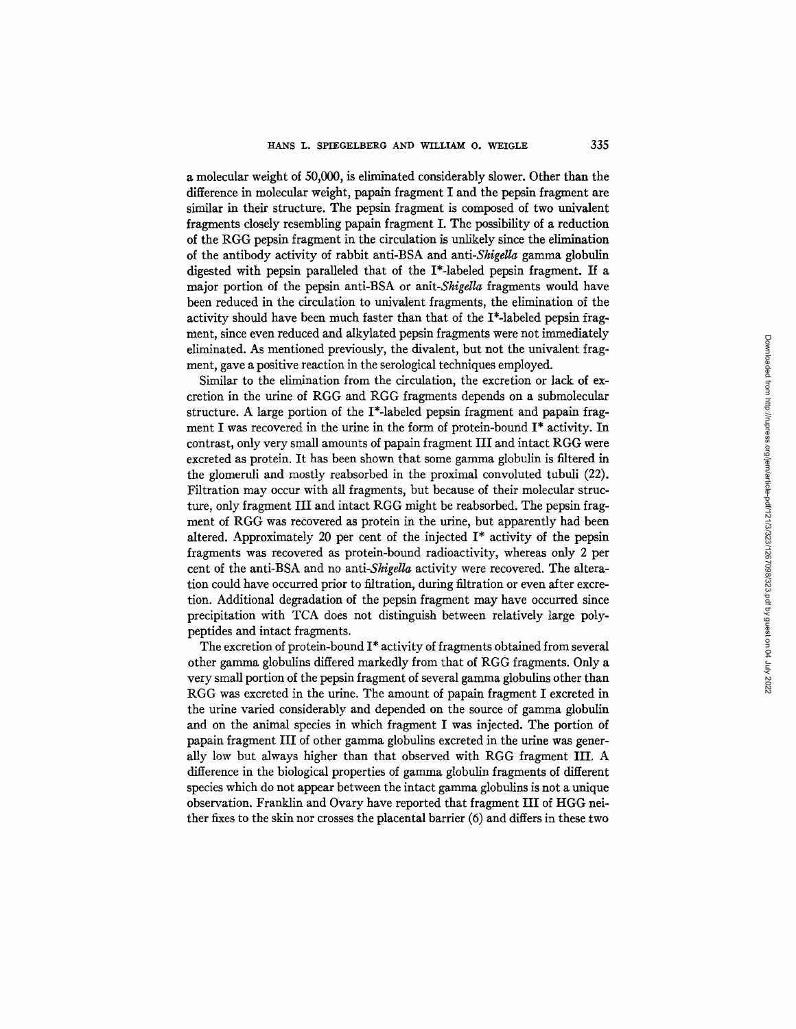a molecular weight of 50,000, is eliminated considerably slower. Other than the difference in molecular weight, papain fragment I and the pepsin fragment are similar in their structure. The pepsin fragment is composed of two univalent fragments closely resembling papain fragment I. The possibility of a reduction of the RGG pepsin fragment in the circulation is unlikely since the elimination of the antibody activity of rabbit anti-BSA and *anti-Shigella* gamma globulin digested with pepsin paralleled that of the I\*-labeled pepsin fragment. If a major portion of the pepsin anti-BSA or *anit-Shigella* fragments would have been reduced in the circulation to univalent fragments, the elimination of the activity should have been much faster than that of the I\*-labeled pepsin fragment, since even reduced and alkylated pepsin fragments were not immediately eliminated. As mentioned previously, the divalent, but not the univalent fragment, gave a positive reaction in the serological techniques employed.

Similar to the elimination from the circulation, the excretion or lack of excretion in the urine of RGG and RGG fragments depends on a submolecular structure. A large portion of the I\*-labeled pepsin fragment and papain fragment I was recovered in the urine in the form of protein-bound I\* activity. In contrast, only very small amounts of papain fragment III and intact RGG were excreted as protein. It has been shown that some gamma globulin is filtered in the glomeruli and mostly reabsorbed in the proximal convoluted tubuli (22). Filtration may occur with all fragments, but because of their molecular structure, only fragment III and intact RGG might be reabsorbed. The pepsin fragment of RGG was recovered as protein in the urine, but apparently had been altered. Approximately 20 per cent of the injected I\* activity of the pepsin fragments was recovered as protein-bound radioactivity, whereas only 2 per cent of the anti-BSA and no *anti-Shigella* activity were recovered. The alteration could have occurred prior to filtration, during filtration or even after excretion. Additional degradation of the pepsin fragment may have occurred since precipitation with TCA does not distinguish between relatively large polypepfides and intact fragments.

The excretion of protein-bound I\* activity of fragments obtained from several other gamma globulins differed markedly from that of RGG fragments. Only a very small portion of the pepsin fragment of several gamma globulins other than RGG was excreted in the urine. The amount of papain fragment I excreted in the urine varied considerably and depended on the source of gamma globulin and on the animal species in which fragment I was injected. The portion of papain fragment III of other gamma globulins excreted in the urine was generally low but always higher than that observed with RGG fragment HI. A difference in the biological properties of gamma globulin fragments of different species which do not appear between the intact gamma globulins is not a unique observation. Franklin and Ovary have reported that fragment III of HGG neither fixes to the skin nor crosses the placental barrier (6) and differs in these two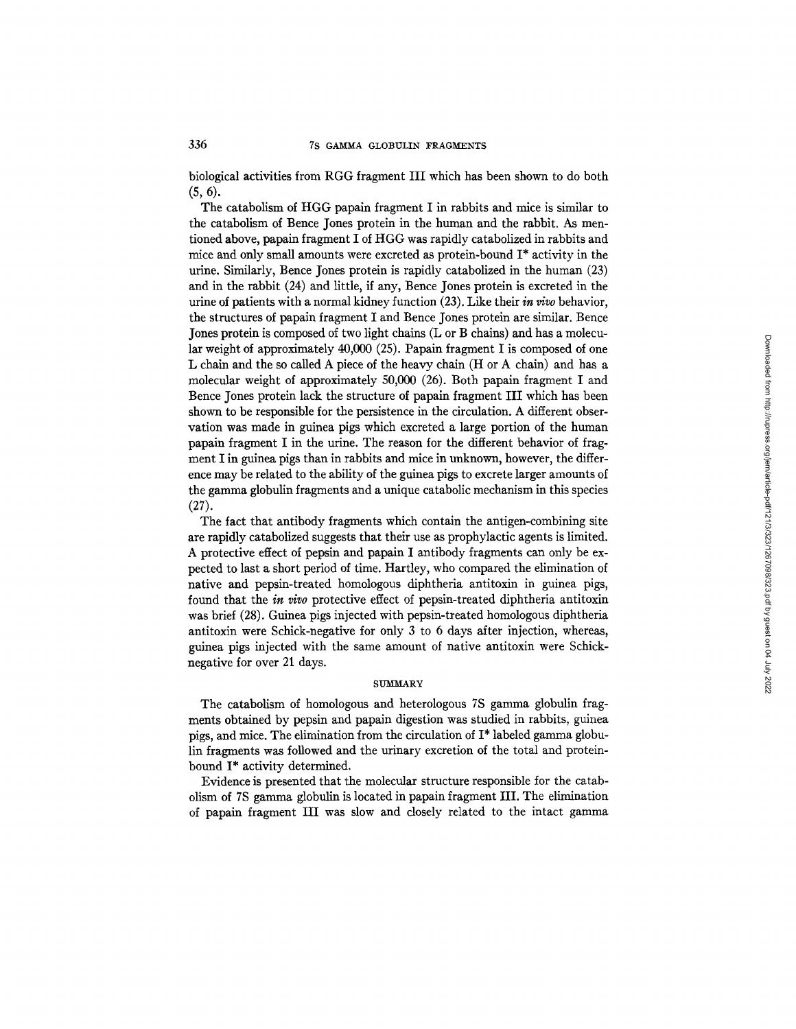biological activities from RGG fragment III which has been shown to do both (5, 6).

The catabolism of HGG papain fragment I in rabbits and mice is similar to the catabolism of Bence Jones protein in the human and the rabbit. As mentioned above, papain fragment I of HGG was rapidly catabolized in rabbits and mice and only small amounts were excreted as protein-bound I\* activity in the urine. Similarly, Bence Jones protein is rapidly catabolized in the human (23) and in the rabbit (24) and little, if any, Bence Jones protein is excreted in the urine of patients with a normal kidney function (23). Like their *in vivo* behavior, the structures of papain fragment I and Bence Jones protein are similar. Bence Jones protein is composed of two light chains (L or B chains) and has a molecular weight of approximately 40,000 (25). Papain fragment I is composed of one L chain and the so called A piece of the heavy chain (H or A chain) and has a molecular weight of approximately 50,000 (26). Both papain fragment I and Bence Jones protein lack the structure of papain fragment III which has been shown to be responsible for the persistence in the circulation. A different observation was made in guinea pigs which excreted a large portion of the human papain fragment I in the urine. The reason for the different behavior of fragment I in guinea pigs than in rabbits and mice in unknown, however, the difference may be related to the ability of the guinea pigs to excrete larger amounts of the gamma globulin fragments and a unique catabolic mechanism in this species (27).

The fact that antibody fragments which contain the antigen-combining site are rapidly catabolized suggests that their use as prophylactic agents is limited. A protective effect of pepsin and papain I antibody fragments can only be expected to last a short period of time. Hartley, who compared the elimination of native and pepsin-treated homologous diphtheria antitoxin in guinea pigs, found that the *in vivo* protective effect of pepsin-treated diphtheria antitoxin was brief (28). Guinea pigs injected with pepsin-treated homologous diphtheria antitoxin were Schick-negative for only 3 to 6 days after injection, whereas, guinea pigs injected with the same amount of native antitoxin were Schicknegative for over 21 days.

# SUMMARY

The catabolism of homologous and heterologous 7S gamma globulin fragments obtained by pepsin and papain digestion was studied in rabbits, guinea pigs, and mice. The elimination from the circulation of I\* labeled gamma globulin fragments was followed and the urinary excretion of the total and proteinbound I\* activity determined.

Evidence is presented that the molecular structure responsible for the catabolism of 7S gamma globulin is located in papain fragment III. The elimination of papain fragment III was slow and closely related to the intact gamma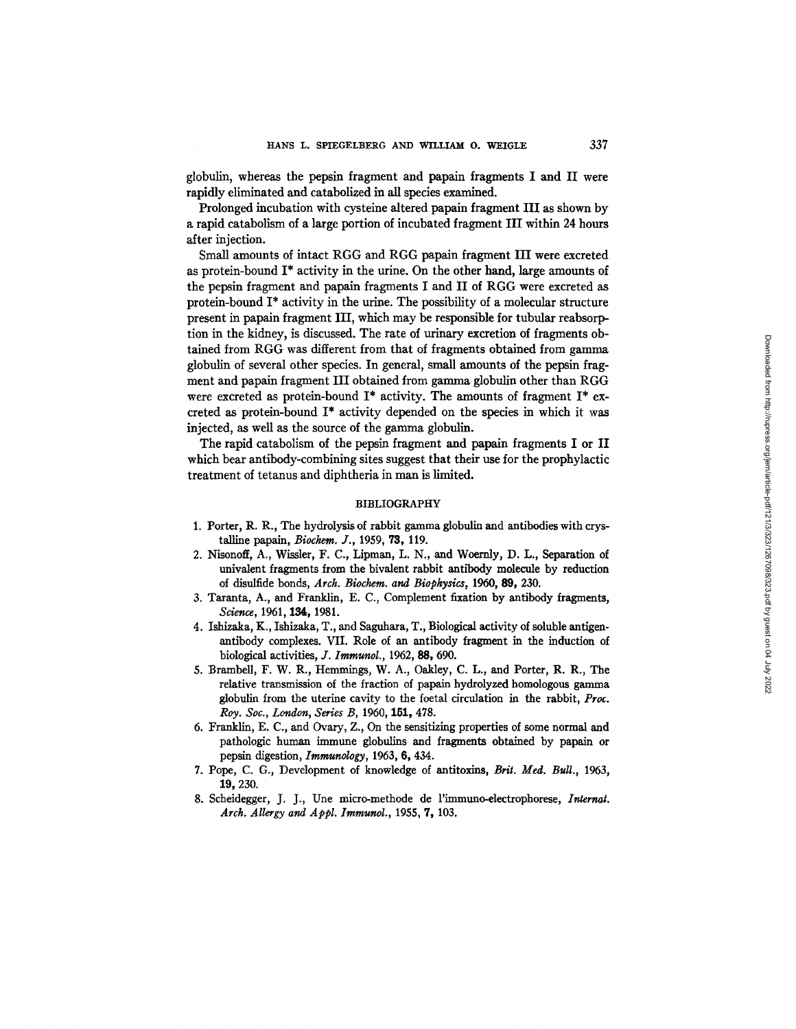globulin, whereas the pepsin fragment and papain fragments I and II were rapidly eliminated and catabolized in all species examined.

Prolonged incubation with cysteine altered papain fragment III as shown by a rapid catabolism of a large portion of incubated fragment III within 24 hours after injection.

Small amounts of intact RGG and RGG papain fragment III were excreted as protein-bound I\* activity in the urine. On the other hand, large amounts of the pepsin fragment and papain fragments I and II of RGG were excreted as protein-bound  $I^*$  activity in the urine. The possibility of a molecular structure present in papain fragment III, which may be responsible for tubular reabsorption in the kidney, is discussed. The rate of urinary excretion of fragments obtained from RGG was different from that of fragments obtained from gamma globulin of several other species. In general, small amounts of the pepsin fragment and papain fragment III obtained from gamma globulin other than RGG were excreted as protein-bound I\* activity. The amounts of fragment I\* excreted as protein-bound I\* activity depended on the species in which it was injected, as well as the source of the gamma globulin.

The rapid catabolism of the pepsin fragment and papain fragments I or II which bear antibody-combining sites suggest that their use for the prophylactic treatment of tetanus and diphtheria in man is limited.

# BIBLIOGRAPHY

- 1. Porter, R. R., The hydrolysis of rabbit gamma globulin and antibodies with crystalline papain, *Biochem. J.*, 1959, 73, 119.
- 2. Nisonoff, A., Wissler, F. C., Lipman, L. N., and Woemly, D. L., Separation of univalent fragments from the bivalent rabbit antibody molecule by reduction of disulfide bonds, *Arch. Biochera. and Biophysics,* 1960, 89, 230.
- 3. Taranta,  $A_{.}$ , and Franklin, E. C., Complement fixation by antibody fragments, *Science, 1961,* 184, 1981.
- 4. Ishizaka, K., Isbizaka, T., and Saguhara, T., Biological activity of soluble antigenantibody complexes. VII. Role of an antibody fragment in the induction of biological activities, *Y. Imraunol., 1962, 88, 690.*
- 5. BrambeU, F. W. R., Hemmings, W. A., Oaldey, C. L., and Porter, R. R., The relative transmission of the fraction of papain hydrolyzed homologous gamma globulin from the uterine cavity to the foetal circulation in the rabbit, *Proc. Roy. Sot., London, Series B, 1960,* 151, 478.
- 6. Franklin, E. C., and Ovary, Z., On the sensitizing properties of some normal and pathologic human immune globulins and fragments obtained by papain or pepsin digestion, *Immunology,* 1963, 6, 434.
- 7. Pope, C. G., Development of knowledge of antitoxins, *Brit. Med. Bull., 1963,*  19, 230.
- 8. Scheidegger, J. J., Une micro-methode de l'immuno-electrophorese, *Internal. Arch. Allergy and A ppl. Immunol.,* 1955, 7, 103.